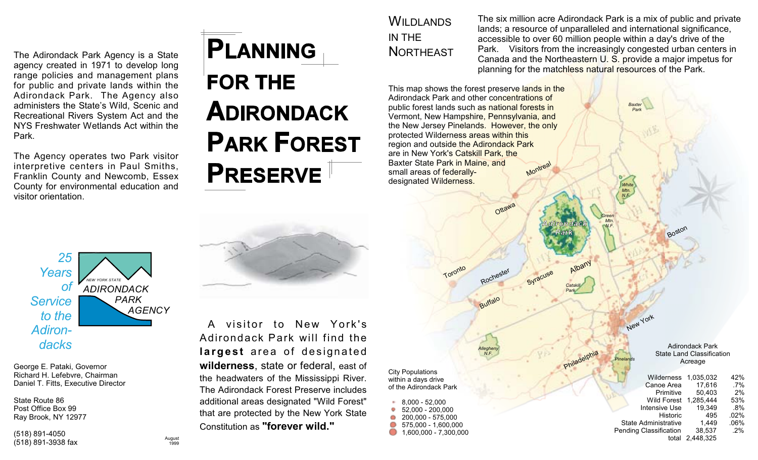The Adirondack Park Agency is a State agency created in 1971 to develop long range policies and management plans for public and private lands within the Adirondack Park. The Agency also administers the State's Wild, Scenic and Recreational Rivers System Act and the NYS Freshwater Wetlands Act within the Park.

The Agency operates two Park visitor interpretive centers in Paul Smiths. Franklin County and Newcomb, Essex County for environmental education and visitor orientation.



## **FOR THE ADIRONDACK PARK FOREST PRESERVE**

**WII DI ANDS** IN THE **NORTHEAST**  The six million acre Adirondack Park is a mix of public and private lands; a resource of unparalleled and international significance, accessible to over 60 million people within a day's drive of the Park. Visitors from the increasingly congested urban centers in Canada and the Northeastern U. S. provide a major impetus for planning for the matchless natural resources of the Park.

Albany

Catski

Syracuse

Baxter

New York

This map shows the forest preserve lands in the Adirondack Park and other concentrations of public forest lands such as national forests in Vermont, New Hampshire, Pennsylvania, and the New Jersey Pinelands. However, the only protected Wilderness areas within this region and outside the Adirondack Park are in New York's Catskill Park, the Baxter State Park in Maine, and Montreal small areas of federallydesignated Wilderness.

Toronto

Ottawa

Rochester

Buffalo

25 Years .<br>NEW YORK STATE **of ADIRONDACK Service** PARK **AGENCY** to the Adirondacks

George E. Pataki, Governor Richard H. Lefebvre, Chairman Daniel T. Fitts. Executive Director

State Route 86 Post Office Box 99 Ray Brook, NY 12977

(518) 891-4050 (518) 891-3938 fax



A visitor to New York's Adirondack Park will find the largest area of designated wilderness, state or federal, east of the headwaters of the Mississippi River. The Adirondack Forest Preserve includes additional areas designated "Wild Forest" that are protected by the New York State Constitution as "forever wild."

**City Populations** within a days drive of the Adirondack Park

8,000 - 52,000 52,000 - 200,000 200.000 - 575.000  $\bullet$  575,000 - 1,600,000  $\bullet$  1,600,000 - 7,300,000

**Adirondack Park State Land Classification** Acreage

Wilderness 1.035.032 42% Canoe Area  $.7\%$ 17.616  $2%$ 50.403 Primitive Wild Forest 1.285.444 53% **Intensive Use** 19,349  $.8%$ 495  $.02%$ **Historic State Administrative** 1,449  $.06%$ **Pending Classification** 38.537  $.2%$ total 2,448,325

August